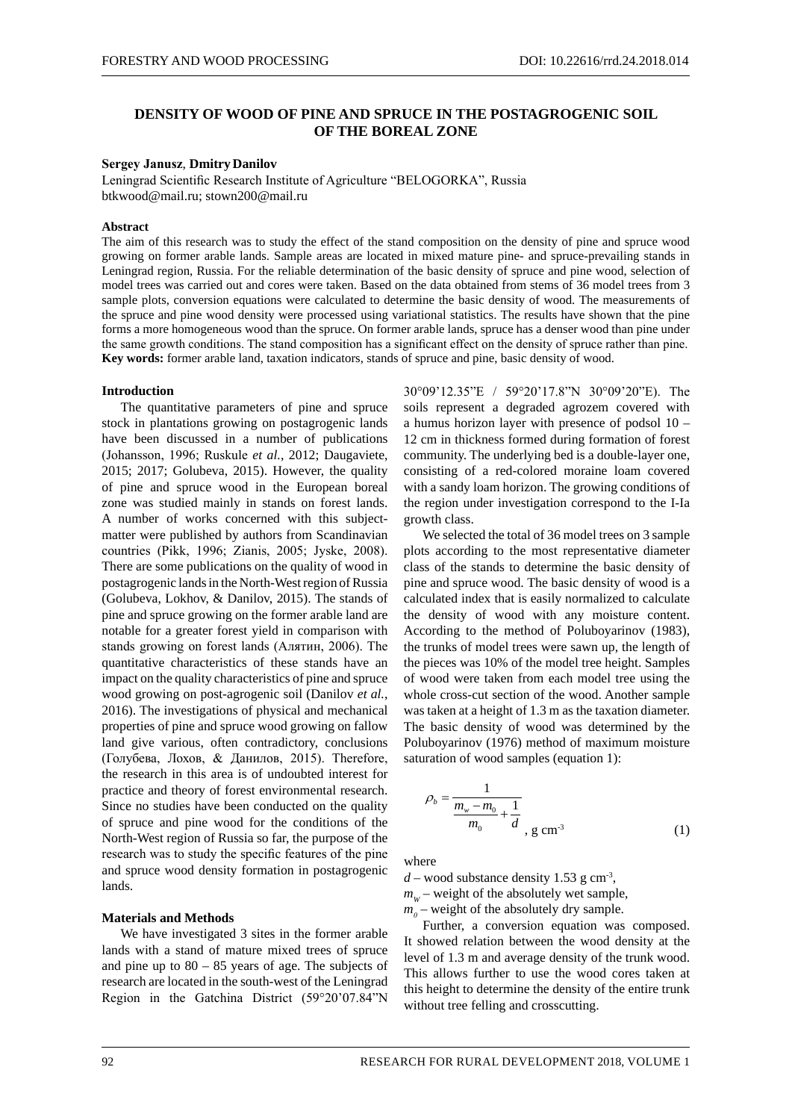# **DENSITY OF WOOD OF PINE AND SPRUCE IN THE POSTAGROGENIC SOIL OF THE BOREAL ZONE**

# **Sergey Janusz**, **Dmitry Danilov**

Leningrad Scientific Research Institute of Agriculture "BELOGORKA", Russia btkwood@mail.ru; stown200@mail.ru

# **Abstract**

The aim of this research was to study the effect of the stand composition on the density of pine and spruce wood growing on former arable lands. Sample areas are located in mixed mature pine- and spruce-prevailing stands in Leningrad region, Russia. For the reliable determination of the basic density of spruce and pine wood, selection of model trees was carried out and cores were taken. Based on the data obtained from stems of 36 model trees from 3 sample plots, conversion equations were calculated to determine the basic density of wood. The measurements of the spruce and pine wood density were processed using variational statistics. The results have shown that the pine forms a more homogeneous wood than the spruce. On former arable lands, spruce has a denser wood than pine under the same growth conditions. The stand composition has a significant effect on the density of spruce rather than pine. **Key words:** former arable land, taxation indicators, stands of spruce and pine, basic density of wood.

#### **Introduction**

The quantitative parameters of pine and spruce stock in plantations growing on postagrogenic lands have been discussed in a number of publications (Johansson, 1996; Ruskule *et al.*, 2012; Daugaviete, 2015; 2017; Golubeva, 2015). However, the quality of pine and spruce wood in the European boreal zone was studied mainly in stands on forest lands. A number of works concerned with this subjectmatter were published by authors from Scandinavian countries (Pikk, 1996; Zianis, 2005; Jyske, 2008). There are some publications on the quality of wood in postagrogenic lands in the North-West region of Russia (Golubeva, Lokhov, & Danilov, 2015). The stands of pine and spruce growing on the former arable land are notable for a greater forest yield in comparison with stands growing on forest lands (Алятин, 2006). The quantitative characteristics of these stands have an impact on the quality characteristics of pine and spruce wood growing on post-agrogenic soil (Danilov *et al.*, 2016). The investigations of physical and mechanical properties of pine and spruce wood growing on fallow land give various, often contradictory, conclusions (Голубева, Лохов, & Данилов, 2015). Therefore, the research in this area is of undoubted interest for practice and theory of forest environmental research. Since no studies have been conducted on the quality of spruce and pine wood for the conditions of the North-West region of Russia so far, the purpose of the research was to study the specific features of the pine and spruce wood density formation in postagrogenic lands.

## **Materials and Methods**

We have investigated 3 sites in the former arable lands with a stand of mature mixed trees of spruce and pine up to  $80 - 85$  years of age. The subjects of research are located in the south-west of the Leningrad Region in the Gatchina District (59°20'07.84"N

30°09'12.35"E / 59°20'17.8"N 30°09'20"E). The soils represent a degraded agrozem covered with a humus horizon layer with presence of podsol 10 – 12 cm in thickness formed during formation of forest community. The underlying bed is a double-layer one, consisting of a red-colored moraine loam covered with a sandy loam horizon. The growing conditions of the region under investigation correspond to the I-Ia growth class.

We selected the total of 36 model trees on 3 sample plots according to the most representative diameter class of the stands to determine the basic density of pine and spruce wood. The basic density of wood is a calculated index that is easily normalized to calculate the density of wood with any moisture content. According to the method of Poluboyarinov (1983), the trunks of model trees were sawn up, the length of the pieces was 10% of the model tree height. Samples of wood were taken from each model tree using the whole cross-cut section of the wood. Another sample was taken at a height of 1.3 m as the taxation diameter. The basic density of wood was determined by the Poluboyarinov (1976) method of maximum moisture saturation of wood samples (equation 1):

$$
\rho_b = \frac{1}{\frac{m_w - m_0}{m_0} + \frac{1}{d}} \tag{1}
$$

where

 $d$  – wood substance density 1.53 g cm<sup>-3</sup>,

 $m_w$  – weight of the absolutely wet sample,

 $m_0$  – weight of the absolutely dry sample.

Further, a conversion equation was composed. It showed relation between the wood density at the level of 1.3 m and average density of the trunk wood. This allows further to use the wood cores taken at this height to determine the density of the entire trunk without tree felling and crosscutting.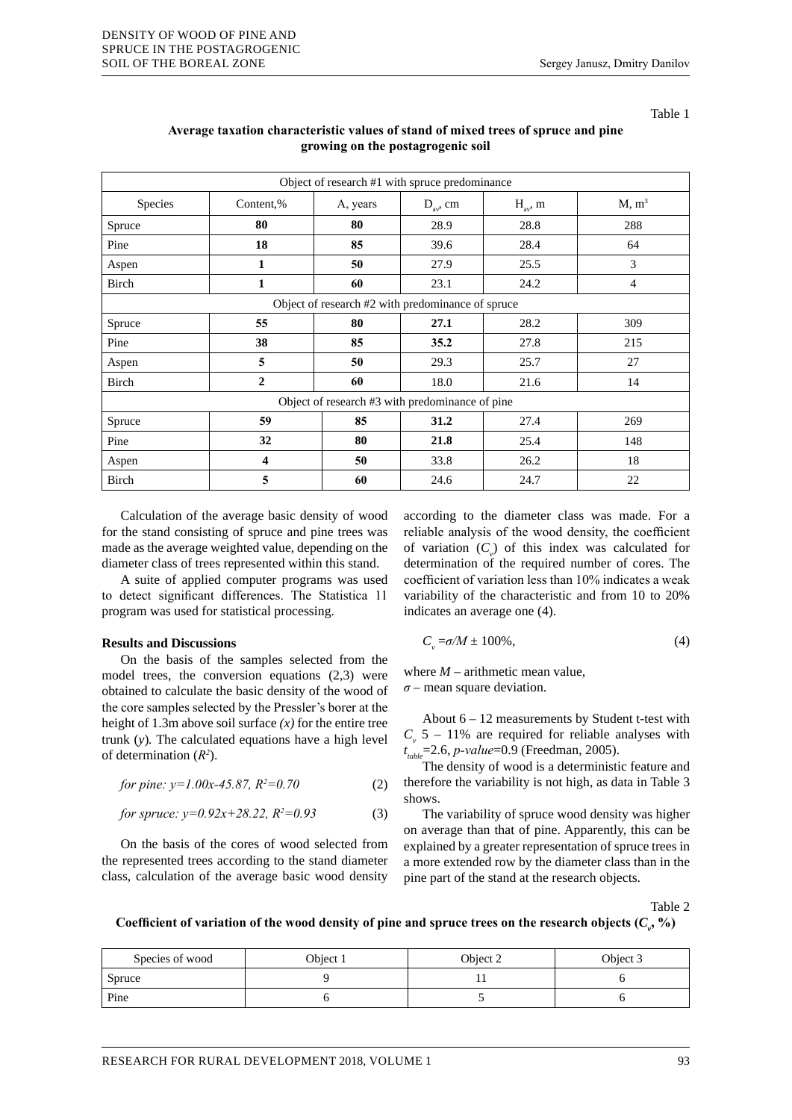Table 1

| Object of research #1 with spruce predominance    |                |                           |      |              |                   |  |  |  |
|---------------------------------------------------|----------------|---------------------------|------|--------------|-------------------|--|--|--|
| Species                                           | Content,%      | $D_{av}$ , cm<br>A, years |      | $H_{av}$ , m | M, m <sup>3</sup> |  |  |  |
| Spruce                                            | 80             | 80                        | 28.9 | 28.8         | 288               |  |  |  |
| Pine                                              | 18             | 85                        | 39.6 | 28.4         | 64                |  |  |  |
| Aspen                                             | 1              | 50                        | 27.9 | 25.5         | 3                 |  |  |  |
| Birch                                             | 1              | 60                        | 23.1 | 24.2         | 4                 |  |  |  |
| Object of research #2 with predominance of spruce |                |                           |      |              |                   |  |  |  |
| Spruce                                            | 55             | 80                        | 27.1 | 28.2         | 309               |  |  |  |
| Pine                                              | 38             | 85                        | 35.2 | 27.8         | 215               |  |  |  |
| Aspen                                             | 5              | 50                        | 29.3 | 25.7         | 27                |  |  |  |
| Birch                                             | $\overline{2}$ | 60                        | 18.0 | 21.6         | 14                |  |  |  |
| Object of research #3 with predominance of pine   |                |                           |      |              |                   |  |  |  |
| Spruce                                            | 59             | 85                        | 31.2 | 27.4         | 269               |  |  |  |
| Pine                                              | 32             | 80                        | 21.8 | 25.4         | 148               |  |  |  |
| Aspen                                             | 4              | 50                        | 33.8 | 26.2         | 18                |  |  |  |
| Birch                                             | 5              | 60                        | 24.6 | 24.7         | 22                |  |  |  |

# **Average taxation characteristic values of stand of mixed trees of spruce and pine growing on the postagrogenic soil**

Calculation of the average basic density of wood for the stand consisting of spruce and pine trees was made as the average weighted value, depending on the diameter class of trees represented within this stand.

A suite of applied computer programs was used to detect significant differences. The Statistica 11 program was used for statistical processing.

### **Results and Discussions**

On the basis of the samples selected from the model trees, the conversion equations (2,3) were obtained to calculate the basic density of the wood of the соre samples selected by the Pressler's borer at the height of 1.3m above soil surface  $(x)$  for the entire tree trunk (*y*)*.* The calculated equations have a high level of determination (*R2* ).

*for pine: y=1.00x-45.87, R2 =0.70* (2)

for *spruce*: 
$$
y=0.92x+28.22
$$
,  $R^2=0.93$  (3)

On the basis of the cores of wood selected from the represented trees according to the stand diameter class, calculation of the average basic wood density according to the diameter class was made. For a reliable analysis of the wood density, the coefficient of variation  $(C_v)$  of this index was calculated for determination of the required number of cores. The coefficient of variation less than 10% indicates a weak variability of the characteristic and from 10 to 20% indicates an average one (4).

$$
C_{\nu} = \sigma/M \pm 100\%,\tag{4}
$$

where  $M$  – arithmetic mean value, *σ* – mean square deviation.

About  $6 - 12$  measurements by Student t-test with  $C_v$  5 – 11% are required for reliable analyses with *t table*=2.6, *p-value*=0.9 (Freedman, 2005).

The density of wood is a deterministic feature and therefore the variability is not high, as data in Table 3 shows.

The variability of spruce wood density was higher on average than that of pine. Apparently, this can be explained by a greater representation of spruce trees in a more extended row by the diameter class than in the pine part of the stand at the research objects.

Table 2

Coefficient of variation of the wood density of pine and spruce trees on the research objects  $(C_{\rho}, \%)$ 

| Species of wood | Object 1 | Object 2 | Object 3 |
|-----------------|----------|----------|----------|
| Spruce          |          |          |          |
| Pine            |          |          |          |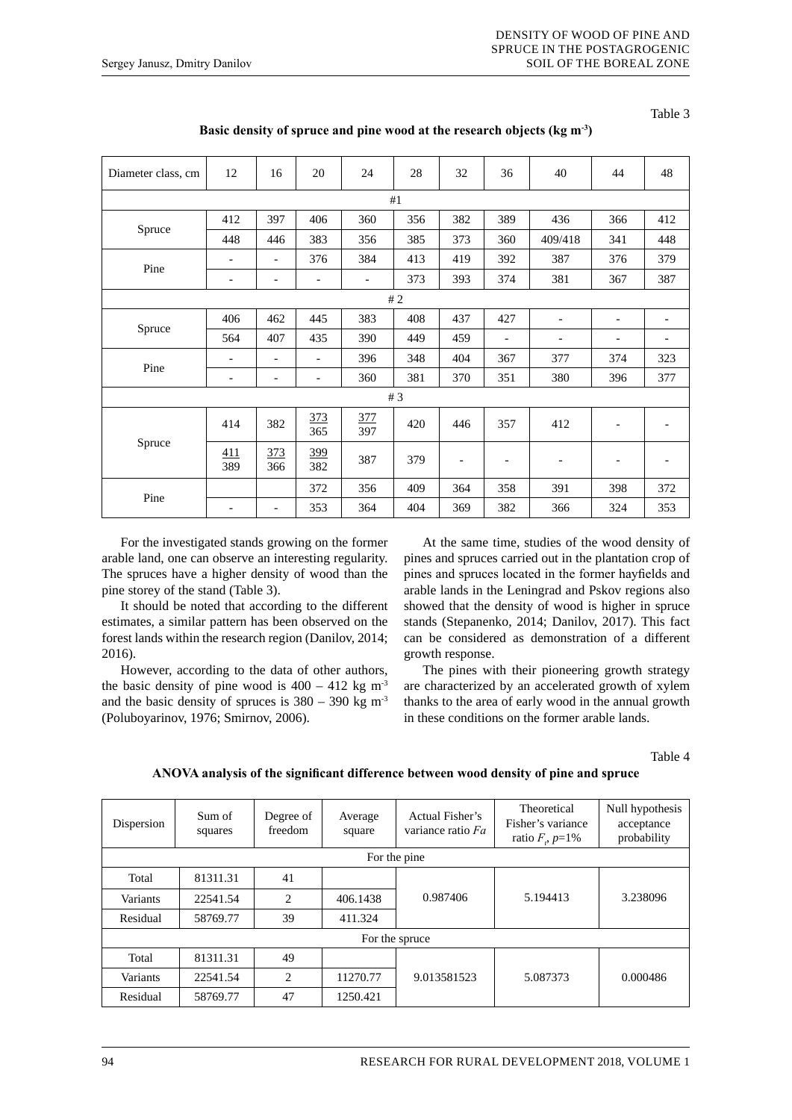Table 3

| Diameter class, cm | 12                           | 16                       | 20                       | 24                       | 28  | 32                       | 36                       | 40                       | 44                       | 48  |
|--------------------|------------------------------|--------------------------|--------------------------|--------------------------|-----|--------------------------|--------------------------|--------------------------|--------------------------|-----|
| #1                 |                              |                          |                          |                          |     |                          |                          |                          |                          |     |
| Spruce             | 412                          | 397                      | 406                      | 360                      | 356 | 382                      | 389                      | 436                      | 366                      | 412 |
|                    | 448                          | 446                      | 383                      | 356                      | 385 | 373                      | 360                      | 409/418                  | 341                      | 448 |
|                    | $\qquad \qquad \blacksquare$ | $\overline{\phantom{a}}$ | 376                      | 384                      | 413 | 419                      | 392                      | 387                      | 376                      | 379 |
| Pine               | $\overline{\phantom{a}}$     | $\overline{\phantom{a}}$ | ٠                        | $\overline{\phantom{a}}$ | 373 | 393                      | 374                      | 381                      | 367                      | 387 |
| #2                 |                              |                          |                          |                          |     |                          |                          |                          |                          |     |
| Spruce             | 406                          | 462                      | 445                      | 383                      | 408 | 437                      | 427                      | ۰                        | $\overline{\phantom{a}}$ |     |
|                    | 564                          | 407                      | 435                      | 390                      | 449 | 459                      | $\overline{\phantom{a}}$ | ٠                        | ٠                        |     |
| Pine               | $\overline{\phantom{0}}$     | ٠                        | $\overline{a}$           | 396                      | 348 | 404                      | 367                      | 377                      | 374                      | 323 |
|                    | $\overline{\phantom{a}}$     | $\overline{\phantom{a}}$ | $\overline{\phantom{a}}$ | 360                      | 381 | 370                      | 351                      | 380                      | 396                      | 377 |
| # $3$              |                              |                          |                          |                          |     |                          |                          |                          |                          |     |
| Spruce             | 414                          | 382                      | 373<br>365               | 377<br>397               | 420 | 446                      | 357                      | 412                      | $\overline{\phantom{a}}$ |     |
|                    | 411<br>389                   | 373<br>366               | 399<br>382               | 387                      | 379 | $\overline{\phantom{a}}$ | $\overline{\phantom{a}}$ | $\overline{\phantom{0}}$ | $\overline{\phantom{a}}$ |     |
| Pine               |                              |                          | 372                      | 356                      | 409 | 364                      | 358                      | 391                      | 398                      | 372 |
|                    | ٠                            | $\overline{\phantom{a}}$ | 353                      | 364                      | 404 | 369                      | 382                      | 366                      | 324                      | 353 |

**Basic density of spruce and pine wood at the research objects (kg m-3)**

For the investigated stands growing on the former arable land, one can observe an interesting regularity. The spruces have a higher density of wood than the pine storey of the stand (Table 3).

It should be noted that according to the different estimates, a similar pattern has been observed on the forest lands within the research region (Danilov, 2014; 2016).

However, according to the data of other authors, the basic density of pine wood is  $400 - 412$  kg m<sup>3</sup> and the basic density of spruces is  $380 - 390$  kg m<sup>3</sup> (Poluboyarinov, 1976; Smirnov, 2006).

At the same time, studies of the wood density of pines and spruces carried out in the plantation crop of pines and spruces located in the former hayfields and arable lands in the Leningrad and Pskov regions also showed that the density of wood is higher in spruce stands (Stepanenko, 2014; Danilov, 2017). This fact can be considered as demonstration of a different growth response.

The pines with their pioneering growth strategy are characterized by an accelerated growth of xylem thanks to the area of early wood in the annual growth in these conditions on the former arable lands.

Table 4

| ANOVA analysis of the significant difference between wood density of pine and spruce |  |
|--------------------------------------------------------------------------------------|--|
|--------------------------------------------------------------------------------------|--|

| Dispersion     | Sum of<br>squares | Degree of<br>freedom | Average<br>square | Actual Fisher's<br>variance ratio Fa | Theoretical<br>Fisher's variance<br>ratio $F, p=1\%$ | Null hypothesis<br>acceptance<br>probability |  |  |  |
|----------------|-------------------|----------------------|-------------------|--------------------------------------|------------------------------------------------------|----------------------------------------------|--|--|--|
| For the pine   |                   |                      |                   |                                      |                                                      |                                              |  |  |  |
| Total          | 81311.31          | 41                   |                   |                                      |                                                      |                                              |  |  |  |
| Variants       | 22541.54          | 2                    | 406.1438          | 0.987406                             | 5.194413                                             | 3.238096                                     |  |  |  |
| Residual       | 58769.77          | 39                   | 411.324           |                                      |                                                      |                                              |  |  |  |
| For the spruce |                   |                      |                   |                                      |                                                      |                                              |  |  |  |
| Total          | 81311.31          | 49                   |                   |                                      |                                                      |                                              |  |  |  |
| Variants       | 22541.54          | $\mathfrak{D}$       | 11270.77          | 9.013581523                          | 5.087373                                             | 0.000486                                     |  |  |  |
| Residual       | 58769.77          | 47                   | 1250.421          |                                      |                                                      |                                              |  |  |  |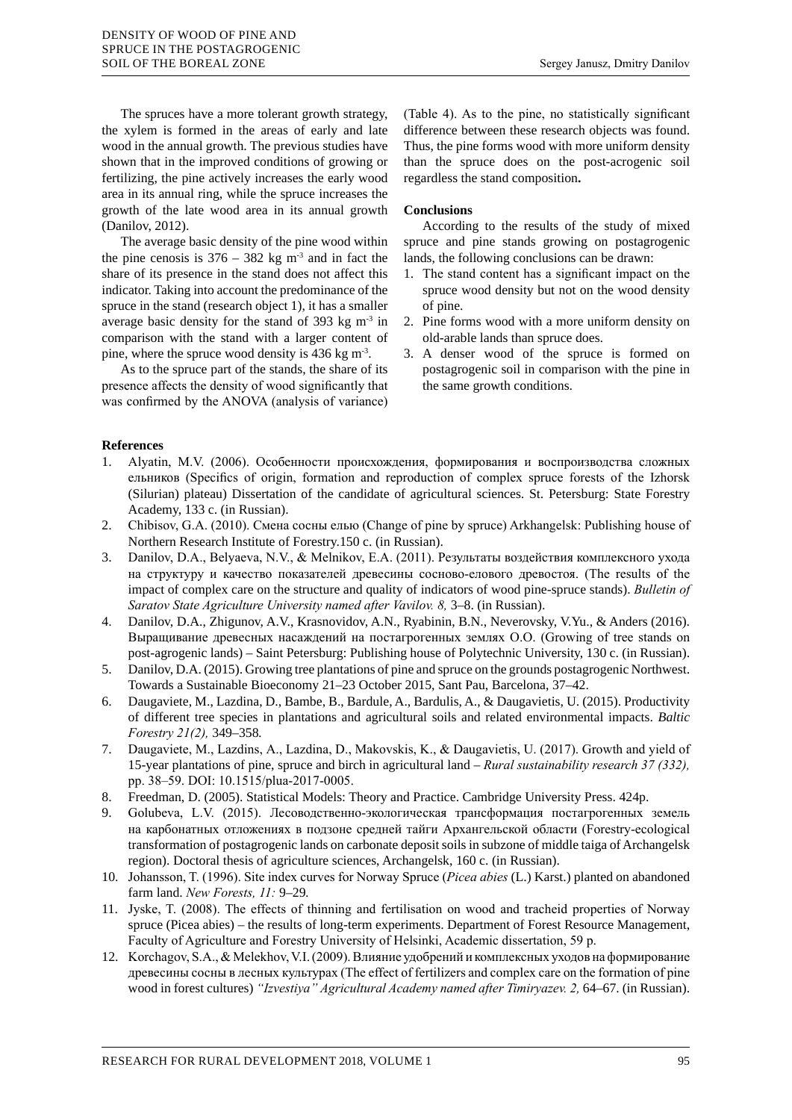The spruces have a more tolerant growth strategy, the xylem is formed in the areas of early and late wood in the annual growth. The previous studies have shown that in the improved conditions of growing or fertilizing, the pine actively increases the early wood area in its annual ring, while the spruce increases the growth of the late wood area in its annual growth (Danilov, 2012).

The average basic density of the pine wood within the pine cenosis is  $376 - 382$  kg m<sup>3</sup> and in fact the share of its presence in the stand does not affect this indicator. Taking into account the predominance of the spruce in the stand (research object 1), it has a smaller average basic density for the stand of 393 kg  $m<sup>3</sup>$  in comparison with the stand with a larger content of pine, where the spruce wood density is 436 kg m-3.

As to the spruce part of the stands, the share of its presence affects the density of wood significantly that was confirmed by the ANOVA (analysis of variance) (Table 4). As to the pine, no statistically significant difference between these research objects was found. Thus, the pine forms wood with more uniform density than the spruce does on the post-acrogenic soil regardless the stand composition**.**

# **Conclusions**

According to the results of the study of mixed spruce and pine stands growing on postagrogenic lands, the following conclusions can be drawn:

- 1. The stand content has a significant impact on the spruce wood density but not on the wood density of pine.
- 2. Pine forms wood with a more uniform density on old-arable lands than spruce does.
- 3. A denser wood of the spruce is formed on postagrogenic soil in comparison with the pine in the same growth conditions.

### **References**

- 1. Alyatin, M.V. (2006). Особенности происхождения, формирования и воспроизводства сложных ельников (Specifics of origin, formation and reproduction of complex spruce forests of the Izhorsk (Silurian) plateau) Dissertation of the candidate of agricultural sciences. St. Petersburg: State Forestry Academy, 133 c. (in Russian).
- 2. Chibisov, G.A. (2010). Смена сосны елью (Change of pine by spruce) Arkhangelsk: Publishing house of Northern Research Institute of Forestry.150 c. (in Russian).
- 3. Danilov, D.A., Belyaeva, N.V., & Melnikov, E.A. (2011). Результаты воздействия комплексного ухода на структуру и качество показателей древесины сосново-елового древостоя. (The results of the impact of complex care on the structure and quality of indicators of wood pine-spruce stands). *Bulletin of Saratov State Agriculture University named after Vavilov. 8,* 3–8. (in Russian).
- 4. Danilov, D.A., Zhigunov, A.V., Krasnovidov, A.N., Ryabinin, B.N., Neverovsky, V.Yu., & Anders (2016). Выращивание древесных насаждений на постагрогенных землях O.O. (Growing of tree stands on post-agrogenic lands) – Saint Petersburg: Publishing house of Polytechnic University, 130 c. (in Russian).
- 5. Danilov, D.A. (2015). Growing tree plantations of pine and spruce on the grounds postagrogenic Northwest. Towards a Sustainable Bioeconomy 21–23 October 2015, Sant Pau, Barcelona, 37–42.
- 6. Daugaviete, M., Lazdina, D., Bambe, B., Bardule, A., Bardulis, A., & Daugavietis, U. (2015). Productivity of different tree species in plantations and agricultural soils and related environmental impacts. *Baltic Forestry 21(2),* 349–358*.*
- 7. Daugaviete, M., Lazdins, А., Lazdina, D., Makovskis, K., & Daugavietis, U. (2017). Growth and yield of 15-year plantations of pine, spruce and birch in agricultural land – *Rural sustainability research 37 (332),*  рр. 38–59. DOI: 10.1515/plua-2017-0005.
- 8. Freedman, D. (2005). Statistical Models: Theory and Practice. Cambridge University Press. 424p.
- 9. Golubeva, L.V. (2015). Лесоводственно-экологическая трансформация постагрогенных земель на карбонатных отложениях в подзоне средней тайги Архангельской области (Forestry-ecological transformation of postagrogenic lands on carbonate deposit soils in subzone of middle taiga of Archangelsk region). Doctoral thesis of agriculture sciences, Archangelsk, 160 c. (in Russian).
- 10. Johansson, T. (1996). Site index curves for Norway Spruce (*Picea abies* (L.) Karst.) planted on abandoned farm land. *New Forests, 11:* 9–29*.*
- 11. Jyske, T. (2008). The effects of thinning and fertilisation on wood and tracheid properties of Norway spruce (Picea abies) – the results of long-term experiments. Department of Forest Resource Management, Faculty of Agriculture and Forestry University of Helsinki, Academic dissertation, 59 р.
- 12. Korchagov, S.A., & Melekhov, V.I. (2009). Влияние удобрений и комплексных уходов на формирование древесины сосны в лесных культурах (The effect of fertilizers and complex care on the formation of pine wood in forest cultures) "Izvestiya" Agricultural Academy named after Timiryazev. 2, 64–67. (in Russian).